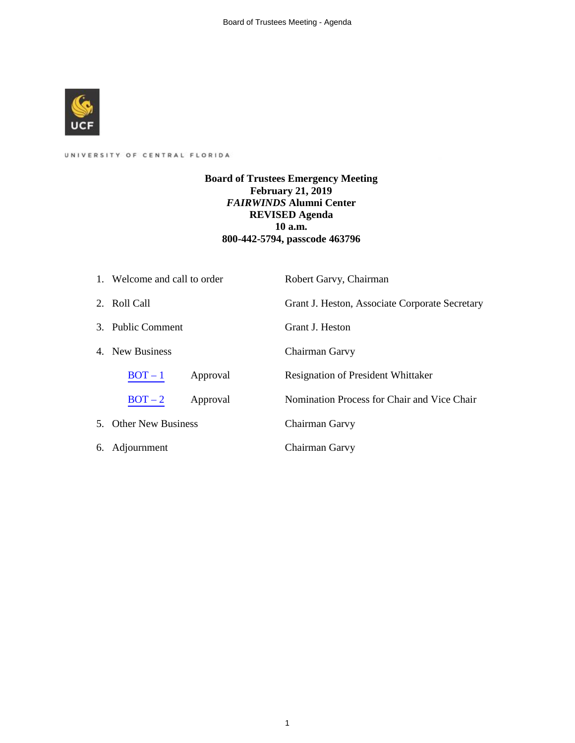

# UNIVERSITY OF CENTRAL FLORIDA

**Board of Trustees Emergency Meeting February 21, 2019** *FAIRWINDS* **Alumni Center REVISED Agenda 10 a.m. 800-442-5794, passcode 463796** 

|    | 1. Welcome and call to order | Robert Garvy, Chairman                         |
|----|------------------------------|------------------------------------------------|
|    | 2. Roll Call                 | Grant J. Heston, Associate Corporate Secretary |
|    | 3. Public Comment            | Grant J. Heston                                |
|    | 4. New Business              | Chairman Garvy                                 |
|    | $BOT-1$<br>Approval          | Resignation of President Whittaker             |
|    | $BOT-2$<br>Approval          | Nomination Process for Chair and Vice Chair    |
|    | 5. Other New Business        | Chairman Garvy                                 |
| 6. | Adjournment                  | Chairman Garvy                                 |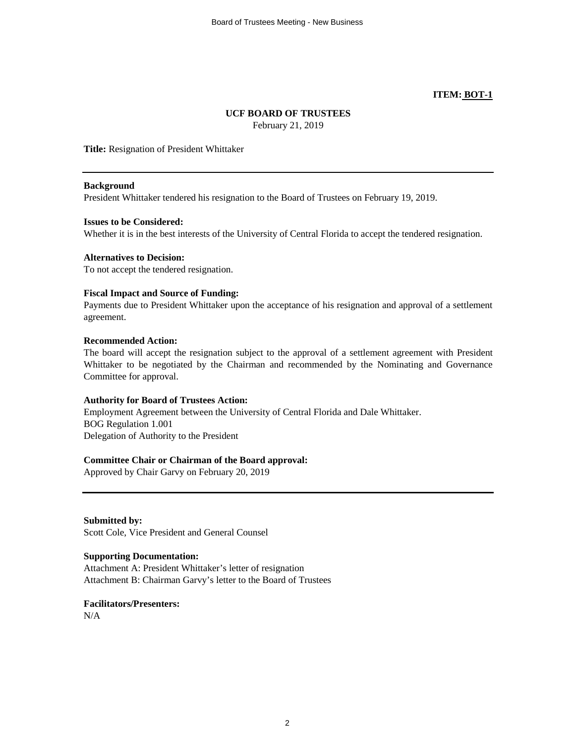# **ITEM: BOT-1**

# **UCF BOARD OF TRUSTEES**

February 21, 2019

<span id="page-1-0"></span>**Title:** Resignation of President Whittaker

### **Background**

President Whittaker tendered his resignation to the Board of Trustees on February 19, 2019.

### **Issues to be Considered:**

Whether it is in the best interests of the University of Central Florida to accept the tendered resignation.

### **Alternatives to Decision:**

To not accept the tendered resignation.

# **Fiscal Impact and Source of Funding:**

Payments due to President Whittaker upon the acceptance of his resignation and approval of a settlement agreement.

### **Recommended Action:**

The board will accept the resignation subject to the approval of a settlement agreement with President Whittaker to be negotiated by the Chairman and recommended by the Nominating and Governance Committee for approval.

# **Authority for Board of Trustees Action:**

Employment Agreement between the University of Central Florida and Dale Whittaker. BOG Regulation 1.001 Delegation of Authority to the President

# **Committee Chair or Chairman of the Board approval:**

Approved by Chair Garvy on February 20, 2019

**Submitted by:** Scott Cole, Vice President and General Counsel

# **Supporting Documentation:**

Attachment A: President Whittaker's letter of resignation Attachment B: Chairman Garvy's letter to the Board of Trustees

**Facilitators/Presenters:**

N/A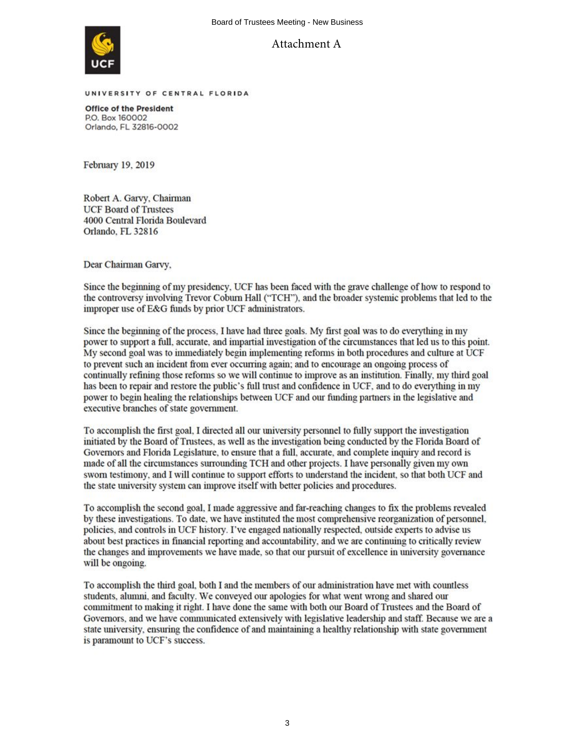

Attachment A

UNIVERSITY OF CENTRAL FLORIDA

**Office of the President** P.O. Box 160002 Orlando, FL 32816-0002

February 19, 2019

Robert A. Garvy, Chairman **UCF Board of Trustees** 4000 Central Florida Boulevard Orlando, FL 32816

Dear Chairman Garvy,

Since the beginning of my presidency, UCF has been faced with the grave challenge of how to respond to the controversy involving Trevor Coburn Hall ("TCH"), and the broader systemic problems that led to the improper use of E&G funds by prior UCF administrators.

Since the beginning of the process, I have had three goals. My first goal was to do everything in my power to support a full, accurate, and impartial investigation of the circumstances that led us to this point. My second goal was to immediately begin implementing reforms in both procedures and culture at UCF to prevent such an incident from ever occurring again; and to encourage an ongoing process of continually refining those reforms so we will continue to improve as an institution. Finally, my third goal has been to repair and restore the public's full trust and confidence in UCF, and to do everything in my power to begin healing the relationships between UCF and our funding partners in the legislative and executive branches of state government.

To accomplish the first goal, I directed all our university personnel to fully support the investigation initiated by the Board of Trustees, as well as the investigation being conducted by the Florida Board of Governors and Florida Legislature, to ensure that a full, accurate, and complete inquiry and record is made of all the circumstances surrounding TCH and other projects. I have personally given my own sworn testimony, and I will continue to support efforts to understand the incident, so that both UCF and the state university system can improve itself with better policies and procedures.

To accomplish the second goal, I made aggressive and far-reaching changes to fix the problems revealed by these investigations. To date, we have instituted the most comprehensive reorganization of personnel, policies, and controls in UCF history. I've engaged nationally respected, outside experts to advise us about best practices in financial reporting and accountability, and we are continuing to critically review the changes and improvements we have made, so that our pursuit of excellence in university governance will be ongoing.

To accomplish the third goal, both I and the members of our administration have met with countless students, alumni, and faculty. We conveyed our apologies for what went wrong and shared our commitment to making it right. I have done the same with both our Board of Trustees and the Board of Governors, and we have communicated extensively with legislative leadership and staff. Because we are a state university, ensuring the confidence of and maintaining a healthy relationship with state government is paramount to UCF's success.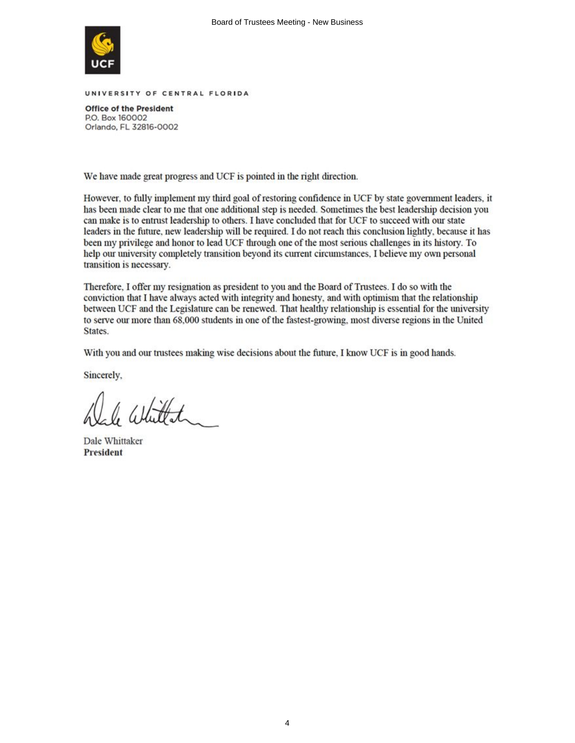

UNIVERSITY OF CENTRAL FLORIDA

**Office of the President** P.O. Box 160002 Orlando, FL 32816-0002

We have made great progress and UCF is pointed in the right direction.

However, to fully implement my third goal of restoring confidence in UCF by state government leaders, it has been made clear to me that one additional step is needed. Sometimes the best leadership decision you can make is to entrust leadership to others. I have concluded that for UCF to succeed with our state leaders in the future, new leadership will be required. I do not reach this conclusion lightly, because it has been my privilege and honor to lead UCF through one of the most serious challenges in its history. To help our university completely transition beyond its current circumstances. I believe my own personal transition is necessary.

Therefore, I offer my resignation as president to you and the Board of Trustees. I do so with the conviction that I have always acted with integrity and honesty, and with optimism that the relationship between UCF and the Legislature can be renewed. That healthy relationship is essential for the university to serve our more than 68,000 students in one of the fastest-growing, most diverse regions in the United States.

With you and our trustees making wise decisions about the future, I know UCF is in good hands.

Sincerely,

 $11.44$ 

Dale Whittaker **President**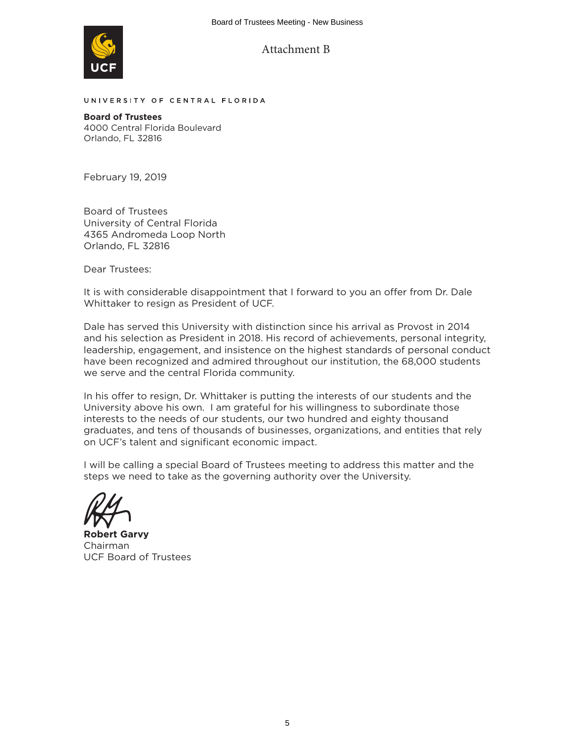

UNIVERSITY OF CENTRAL FLORIDA

**Board of Trustees** 4000 Central Florida Boulevard Orlando, FL 32816

February 19, 2019

Board of Trustees University of Central Florida 4365 Andromeda Loop North Orlando, FL 32816

Dear Trustees:

It is with considerable disappointment that I forward to you an offer from Dr. Dale Whittaker to resign as President of UCF.

Dale has served this University with distinction since his arrival as Provost in 2014 and his selection as President in 2018. His record of achievements, personal integrity, leadership, engagement, and insistence on the highest standards of personal conduct have been recognized and admired throughout our institution, the 68,000 students we serve and the central Florida community.

In his offer to resign, Dr. Whittaker is putting the interests of our students and the University above his own. I am grateful for his willingness to subordinate those interests to the needs of our students, our two hundred and eighty thousand graduates, and tens of thousands of businesses, organizations, and entities that rely on UCF's talent and significant economic impact.

I will be calling a special Board of Trustees meeting to address this matter and the steps we need to take as the governing authority over the University.

**Robert Garvy** Chairman UCF Board of Trustees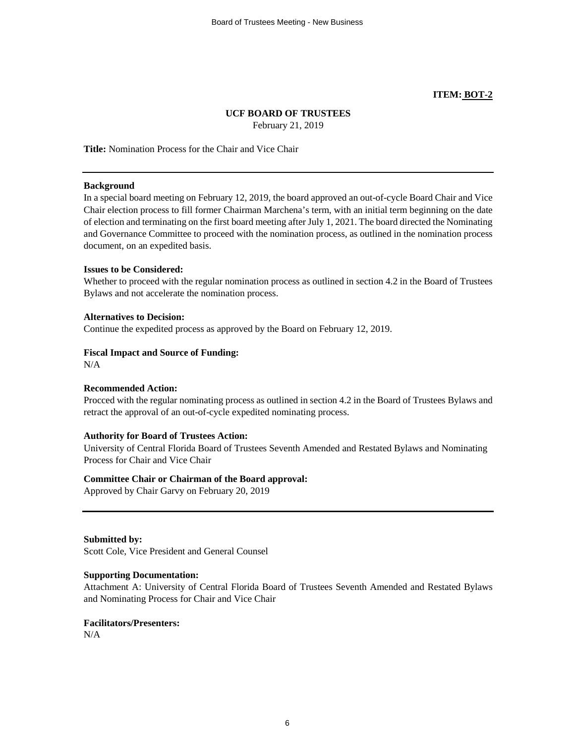# **ITEM: BOT-2**

# **UCF BOARD OF TRUSTEES**

February 21, 2019

<span id="page-5-0"></span>**Title:** Nomination Process for the Chair and Vice Chair

### **Background**

In a special board meeting on February 12, 2019, the board approved an out-of-cycle Board Chair and Vice Chair election process to fill former Chairman Marchena's term, with an initial term beginning on the date of election and terminating on the first board meeting after July 1, 2021. The board directed the Nominating and Governance Committee to proceed with the nomination process, as outlined in the nomination process document, on an expedited basis.

### **Issues to be Considered:**

Whether to proceed with the regular nomination process as outlined in section 4.2 in the Board of Trustees Bylaws and not accelerate the nomination process.

# **Alternatives to Decision:**

Continue the expedited process as approved by the Board on February 12, 2019.

# **Fiscal Impact and Source of Funding:**

 $N/A$ 

# **Recommended Action:**

Procced with the regular nominating process as outlined in section 4.2 in the Board of Trustees Bylaws and retract the approval of an out-of-cycle expedited nominating process.

# **Authority for Board of Trustees Action:**

University of Central Florida Board of Trustees Seventh Amended and Restated Bylaws and Nominating Process for Chair and Vice Chair

# **Committee Chair or Chairman of the Board approval:**

Approved by Chair Garvy on February 20, 2019

**Submitted by:**

Scott Cole, Vice President and General Counsel

# **Supporting Documentation:**

Attachment A: University of Central Florida Board of Trustees Seventh Amended and Restated Bylaws and Nominating Process for Chair and Vice Chair

# **Facilitators/Presenters:**

 $N/A$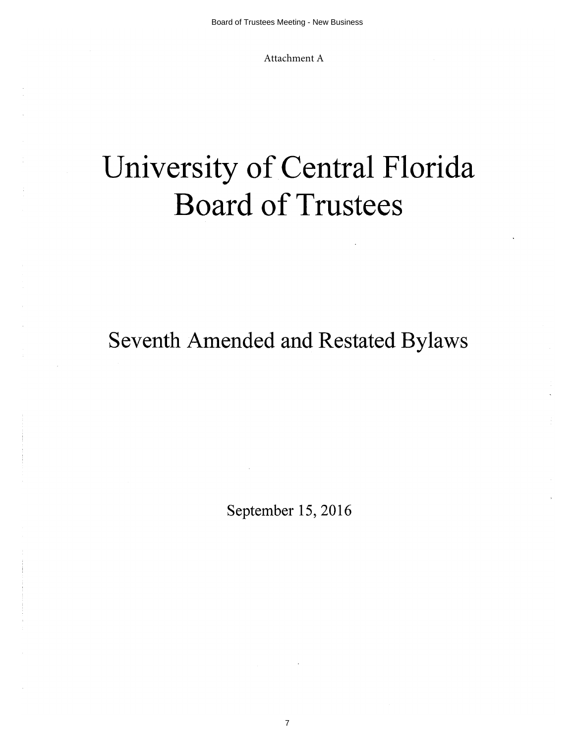Attachment A

# University of Central Florida **Board of Trustees**

Seventh Amended and Restated Bylaws

September 15, 2016

7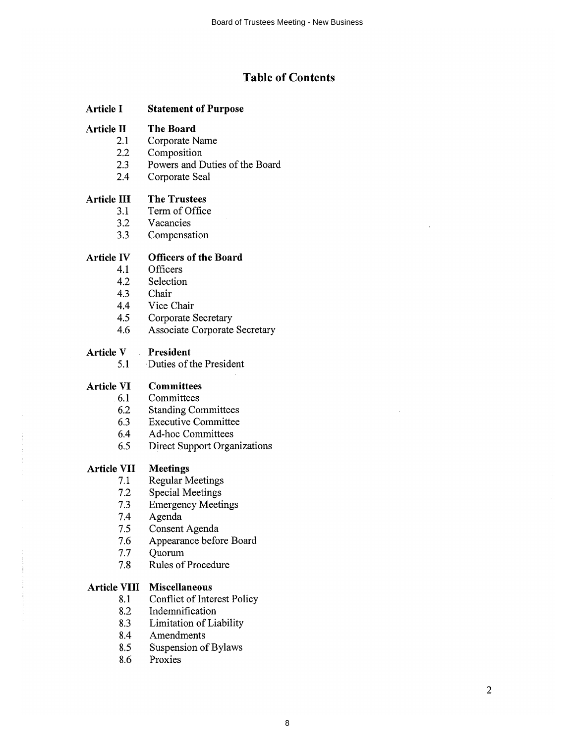# **Table of Contents**

#### **Article I Statement of Purpose**

#### **Article II The Board**

- $2.1$ Corporate Name
- $2.2$ Composition
- Powers and Duties of the Board  $2.3$
- 2.4 Corporate Seal

#### **The Trustees Article III**

- Term of Office  $3.1$
- $3.2$ Vacancies
- $3.3$ Compensation

#### **Article IV Officers of the Board**

- $4.1$ Officers
- $4.2$ Selection
- 4.3 Chair
- 4.4 Vice Chair
- Corporate Secretary 4.5
- Associate Corporate Secretary 4.6

#### Article V President

Duties of the President  $5.1$ 

#### **Article VI Committees**

- 6.1 Committees
- 6.2 **Standing Committees**
- **Executive Committee** 6.3
- Ad-hoc Committees  $6.4$
- **Direct Support Organizations** 6.5

#### **Meetings Article VII**

- **Regular Meetings**  $7.1$
- **Special Meetings**  $7.2$
- **Emergency Meetings**  $7.3$
- Agenda 7.4
- $7.5$ Consent Agenda
- Appearance before Board 7.6
- $7.7$ Quorum
- Rules of Procedure  $7.8$

# **Article VIII Miscellaneous**

- Conflict of Interest Policy 8.1
- 8.2 Indemnification
- 8.3 Limitation of Liability
- 8.4 Amendments
- Suspension of Bylaws 8.5
- 8.6 Proxies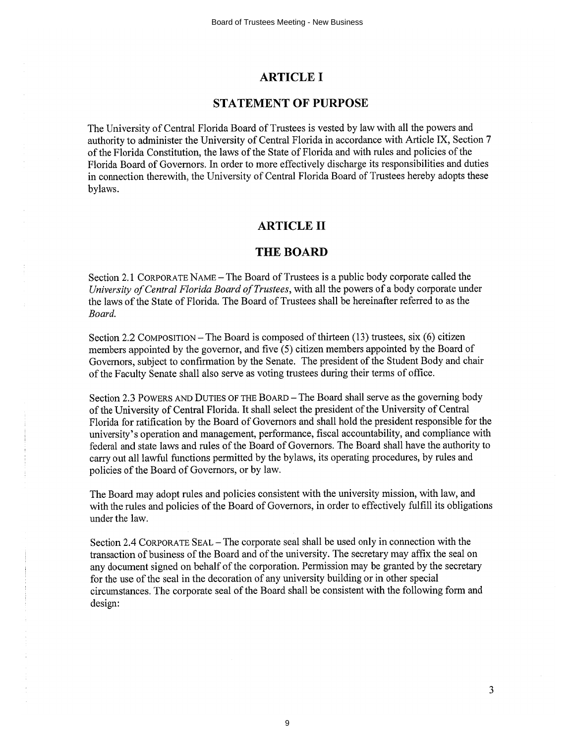# **ARTICLE I**

# **STATEMENT OF PURPOSE**

The University of Central Florida Board of Trustees is vested by law with all the powers and authority to administer the University of Central Florida in accordance with Article IX, Section 7 of the Florida Constitution, the laws of the State of Florida and with rules and policies of the Florida Board of Governors. In order to more effectively discharge its responsibilities and duties in connection therewith, the University of Central Florida Board of Trustees hereby adopts these bylaws.

# **ARTICLE II**

# **THE BOARD**

Section 2.1 CORPORATE NAME - The Board of Trustees is a public body corporate called the University of Central Florida Board of Trustees, with all the powers of a body corporate under the laws of the State of Florida. The Board of Trustees shall be hereinafter referred to as the Board.

Section 2.2 COMPOSITION – The Board is composed of thirteen (13) trustees, six (6) citizen members appointed by the governor, and five (5) citizen members appointed by the Board of Governors, subject to confirmation by the Senate. The president of the Student Body and chair of the Faculty Senate shall also serve as voting trustees during their terms of office.

Section 2.3 POWERS AND DUTIES OF THE BOARD – The Board shall serve as the governing body of the University of Central Florida. It shall select the president of the University of Central Florida for ratification by the Board of Governors and shall hold the president responsible for the university's operation and management, performance, fiscal accountability, and compliance with federal and state laws and rules of the Board of Governors. The Board shall have the authority to carry out all lawful functions permitted by the bylaws, its operating procedures, by rules and policies of the Board of Governors, or by law.

The Board may adopt rules and policies consistent with the university mission, with law, and with the rules and policies of the Board of Governors, in order to effectively fulfill its obligations under the law.

Section 2.4 CORPORATE SEAL – The corporate seal shall be used only in connection with the transaction of business of the Board and of the university. The secretary may affix the seal on any document signed on behalf of the corporation. Permission may be granted by the secretary for the use of the seal in the decoration of any university building or in other special circumstances. The corporate seal of the Board shall be consistent with the following form and design:

3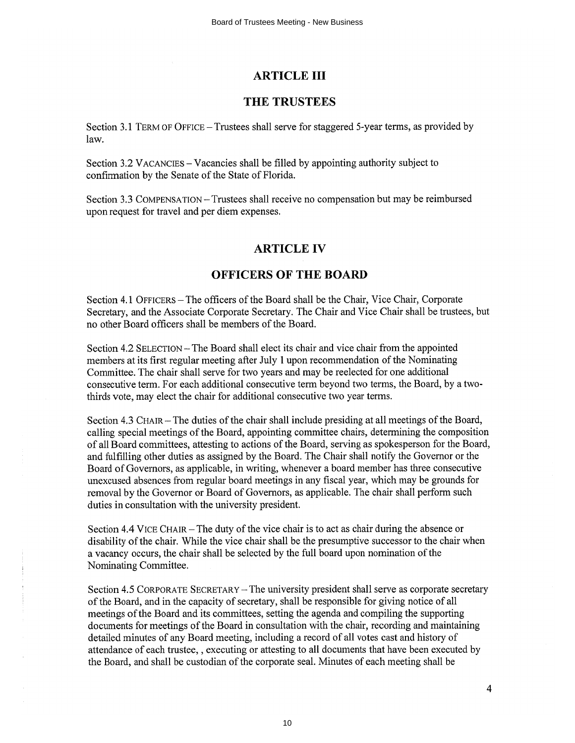# **ARTICLE III**

# THE TRUSTEES

Section 3.1 TERM OF OFFICE – Trustees shall serve for staggered 5-year terms, as provided by law.

Section 3.2 VACANCIES – Vacancies shall be filled by appointing authority subject to confirmation by the Senate of the State of Florida.

Section 3.3 COMPENSATION – Trustees shall receive no compensation but may be reimbursed upon request for travel and per diem expenses.

# **ARTICLE IV**

# **OFFICERS OF THE BOARD**

Section 4.1 OFFICERS - The officers of the Board shall be the Chair, Vice Chair, Corporate Secretary, and the Associate Corporate Secretary. The Chair and Vice Chair shall be trustees, but no other Board officers shall be members of the Board.

Section 4.2 SELECTION – The Board shall elect its chair and vice chair from the appointed members at its first regular meeting after July 1 upon recommendation of the Nominating Committee. The chair shall serve for two years and may be reelected for one additional consecutive term. For each additional consecutive term beyond two terms, the Board, by a twothirds vote, may elect the chair for additional consecutive two year terms.

Section 4.3 CHAIR – The duties of the chair shall include presiding at all meetings of the Board, calling special meetings of the Board, appointing committee chairs, determining the composition of all Board committees, attesting to actions of the Board, serving as spokesperson for the Board, and fulfilling other duties as assigned by the Board. The Chair shall notify the Governor or the Board of Governors, as applicable, in writing, whenever a board member has three consecutive unexcused absences from regular board meetings in any fiscal year, which may be grounds for removal by the Governor or Board of Governors, as applicable. The chair shall perform such duties in consultation with the university president.

Section 4.4 VICE CHAIR – The duty of the vice chair is to act as chair during the absence or disability of the chair. While the vice chair shall be the presumptive successor to the chair when a vacancy occurs, the chair shall be selected by the full board upon nomination of the Nominating Committee.

Section 4.5 CORPORATE SECRETARY - The university president shall serve as corporate secretary of the Board, and in the capacity of secretary, shall be responsible for giving notice of all meetings of the Board and its committees, setting the agenda and compiling the supporting documents for meetings of the Board in consultation with the chair, recording and maintaining detailed minutes of any Board meeting, including a record of all votes cast and history of attendance of each trustee, , executing or attesting to all documents that have been executed by the Board, and shall be custodian of the corporate seal. Minutes of each meeting shall be

4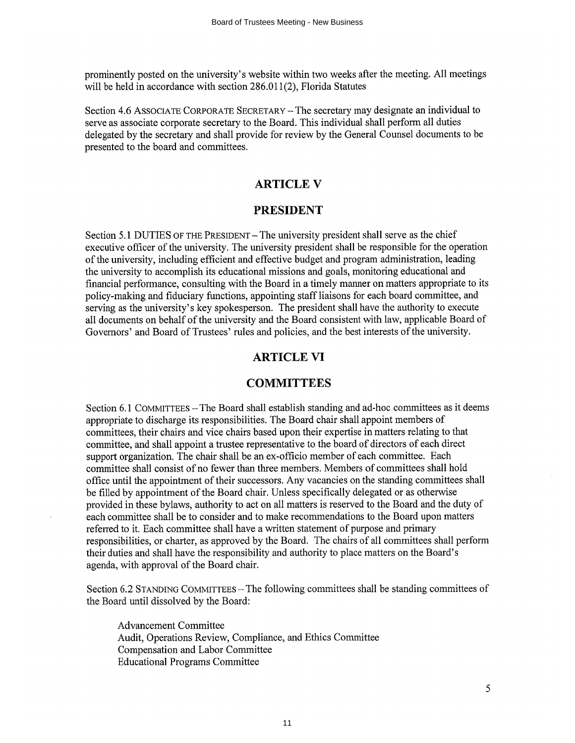prominently posted on the university's website within two weeks after the meeting. All meetings will be held in accordance with section 286.011(2), Florida Statutes

Section 4.6 ASSOCIATE CORPORATE SECRETARY – The secretary may designate an individual to serve as associate corporate secretary to the Board. This individual shall perform all duties delegated by the secretary and shall provide for review by the General Counsel documents to be presented to the board and committees.

# **ARTICLE V**

# **PRESIDENT**

Section 5.1 DUTIES OF THE PRESIDENT - The university president shall serve as the chief executive officer of the university. The university president shall be responsible for the operation of the university, including efficient and effective budget and program administration, leading the university to accomplish its educational missions and goals, monitoring educational and financial performance, consulting with the Board in a timely manner on matters appropriate to its policy-making and fiduciary functions, appointing staff liaisons for each board committee, and serving as the university's key spokesperson. The president shall have the authority to execute all documents on behalf of the university and the Board consistent with law, applicable Board of Governors' and Board of Trustees' rules and policies, and the best interests of the university.

# **ARTICLE VI**

# **COMMITTEES**

Section 6.1 COMMITTEES - The Board shall establish standing and ad-hoc committees as it deems appropriate to discharge its responsibilities. The Board chair shall appoint members of committees, their chairs and vice chairs based upon their expertise in matters relating to that committee, and shall appoint a trustee representative to the board of directors of each direct support organization. The chair shall be an ex-officio member of each committee. Each committee shall consist of no fewer than three members. Members of committees shall hold office until the appointment of their successors. Any vacancies on the standing committees shall be filled by appointment of the Board chair. Unless specifically delegated or as otherwise provided in these bylaws, authority to act on all matters is reserved to the Board and the duty of each committee shall be to consider and to make recommendations to the Board upon matters referred to it. Each committee shall have a written statement of purpose and primary responsibilities, or charter, as approved by the Board. The chairs of all committees shall perform their duties and shall have the responsibility and authority to place matters on the Board's agenda, with approval of the Board chair.

Section 6.2 STANDING COMMITTEES - The following committees shall be standing committees of the Board until dissolved by the Board:

**Advancement Committee** Audit, Operations Review, Compliance, and Ethics Committee Compensation and Labor Committee **Educational Programs Committee**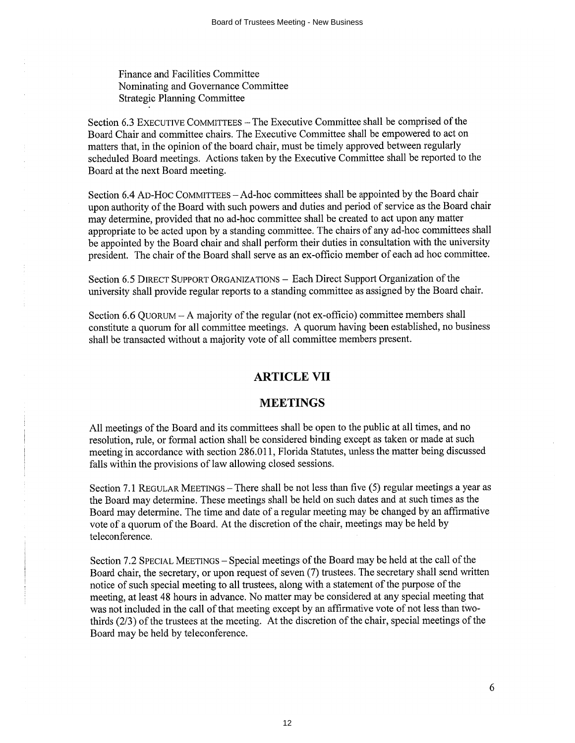Finance and Facilities Committee Nominating and Governance Committee **Strategic Planning Committee** 

Section 6.3 EXECUTIVE COMMITTEES - The Executive Committee shall be comprised of the Board Chair and committee chairs. The Executive Committee shall be empowered to act on matters that, in the opinion of the board chair, must be timely approved between regularly scheduled Board meetings. Actions taken by the Executive Committee shall be reported to the Board at the next Board meeting.

Section 6.4 AD-HOC COMMITTEES - Ad-hoc committees shall be appointed by the Board chair upon authority of the Board with such powers and duties and period of service as the Board chair may determine, provided that no ad-hoc committee shall be created to act upon any matter appropriate to be acted upon by a standing committee. The chairs of any ad-hoc committees shall be appointed by the Board chair and shall perform their duties in consultation with the university president. The chair of the Board shall serve as an ex-officio member of each ad hoc committee.

Section 6.5 DIRECT SUPPORT ORGANIZATIONS - Each Direct Support Organization of the university shall provide regular reports to a standing committee as assigned by the Board chair.

Section 6.6 QUORUM – A majority of the regular (not ex-officio) committee members shall constitute a quorum for all committee meetings. A quorum having been established, no business shall be transacted without a majority vote of all committee members present.

# **ARTICLE VII**

# **MEETINGS**

All meetings of the Board and its committees shall be open to the public at all times, and no resolution, rule, or formal action shall be considered binding except as taken or made at such meeting in accordance with section 286.011, Florida Statutes, unless the matter being discussed falls within the provisions of law allowing closed sessions.

Section 7.1 REGULAR MEETINGS - There shall be not less than five (5) regular meetings a year as the Board may determine. These meetings shall be held on such dates and at such times as the Board may determine. The time and date of a regular meeting may be changed by an affirmative vote of a quorum of the Board. At the discretion of the chair, meetings may be held by teleconference.

Section 7.2 SPECIAL MEETINGS – Special meetings of the Board may be held at the call of the Board chair, the secretary, or upon request of seven (7) trustees. The secretary shall send written notice of such special meeting to all trustees, along with a statement of the purpose of the meeting, at least 48 hours in advance. No matter may be considered at any special meeting that was not included in the call of that meeting except by an affirmative vote of not less than twothirds (2/3) of the trustees at the meeting. At the discretion of the chair, special meetings of the Board may be held by teleconference.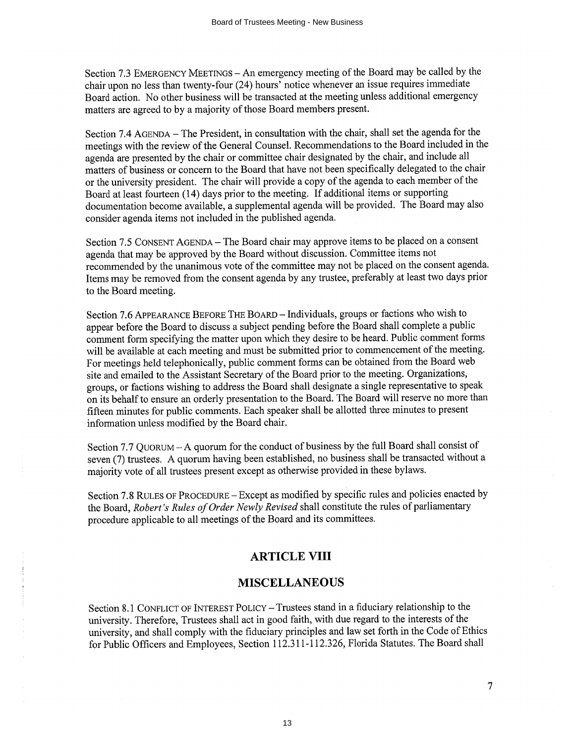Section 7.3 EMERGENCY MEETINGS - An emergency meeting of the Board may be called by the chair upon no less than twenty-four (24) hours' notice whenever an issue requires immediate Board action. No other business will be transacted at the meeting unless additional emergency matters are agreed to by a majority of those Board members present.

Section 7.4 AGENDA – The President, in consultation with the chair, shall set the agenda for the meetings with the review of the General Counsel. Recommendations to the Board included in the agenda are presented by the chair or committee chair designated by the chair, and include all matters of business or concern to the Board that have not been specifically delegated to the chair or the university president. The chair will provide a copy of the agenda to each member of the Board at least fourteen (14) days prior to the meeting. If additional items or supporting documentation become available, a supplemental agenda will be provided. The Board may also consider agenda items not included in the published agenda.

Section 7.5 CONSENT AGENDA - The Board chair may approve items to be placed on a consent agenda that may be approved by the Board without discussion. Committee items not recommended by the unanimous vote of the committee may not be placed on the consent agenda. Items may be removed from the consent agenda by any trustee, preferably at least two days prior to the Board meeting.

Section 7.6 APPEARANCE BEFORE THE BOARD - Individuals, groups or factions who wish to appear before the Board to discuss a subject pending before the Board shall complete a public comment form specifying the matter upon which they desire to be heard. Public comment forms will be available at each meeting and must be submitted prior to commencement of the meeting. For meetings held telephonically, public comment forms can be obtained from the Board web site and emailed to the Assistant Secretary of the Board prior to the meeting. Organizations, groups, or factions wishing to address the Board shall designate a single representative to speak on its behalf to ensure an orderly presentation to the Board. The Board will reserve no more than fifteen minutes for public comments. Each speaker shall be allotted three minutes to present information unless modified by the Board chair.

Section 7.7 QUORUM - A quorum for the conduct of business by the full Board shall consist of seven (7) trustees. A quorum having been established, no business shall be transacted without a majority vote of all trustees present except as otherwise provided in these bylaws.

Section 7.8 RULES OF PROCEDURE - Except as modified by specific rules and policies enacted by the Board, Robert's Rules of Order Newly Revised shall constitute the rules of parliamentary procedure applicable to all meetings of the Board and its committees.

# **ARTICLE VIII**

# **MISCELLANEOUS**

Section 8.1 CONFLICT OF INTEREST POLICY – Trustees stand in a fiduciary relationship to the university. Therefore, Trustees shall act in good faith, with due regard to the interests of the university, and shall comply with the fiduciary principles and law set forth in the Code of Ethics for Public Officers and Employees, Section 112.311-112.326, Florida Statutes. The Board shall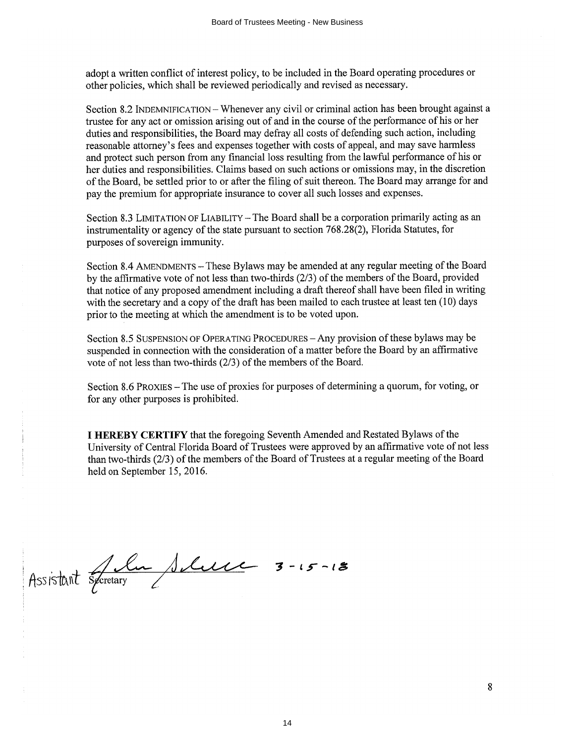adopt a written conflict of interest policy, to be included in the Board operating procedures or other policies, which shall be reviewed periodically and revised as necessary.

Section 8.2 INDEMNIFICATION - Whenever any civil or criminal action has been brought against a trustee for any act or omission arising out of and in the course of the performance of his or her duties and responsibilities, the Board may defray all costs of defending such action, including reasonable attorney's fees and expenses together with costs of appeal, and may save harmless and protect such person from any financial loss resulting from the lawful performance of his or her duties and responsibilities. Claims based on such actions or omissions may, in the discretion of the Board, be settled prior to or after the filing of suit thereon. The Board may arrange for and pay the premium for appropriate insurance to cover all such losses and expenses.

Section 8.3 LIMITATION OF LIABILITY – The Board shall be a corporation primarily acting as an instrumentality or agency of the state pursuant to section 768.28(2), Florida Statutes, for purposes of sovereign immunity.

Section 8.4 AMENDMENTS - These Bylaws may be amended at any regular meeting of the Board by the affirmative vote of not less than two-thirds  $(2/3)$  of the members of the Board, provided that notice of any proposed amendment including a draft thereof shall have been filed in writing with the secretary and a copy of the draft has been mailed to each trustee at least ten (10) days prior to the meeting at which the amendment is to be voted upon.

Section 8.5 SUSPENSION OF OPERATING PROCEDURES - Any provision of these bylaws may be suspended in connection with the consideration of a matter before the Board by an affirmative vote of not less than two-thirds (2/3) of the members of the Board.

Section 8.6 PROXIES – The use of proxies for purposes of determining a quorum, for voting, or for any other purposes is prohibited.

I HEREBY CERTIFY that the foregoing Seventh Amended and Restated Bylaws of the University of Central Florida Board of Trustees were approved by an affirmative vote of not less than two-thirds (2/3) of the members of the Board of Trustees at a regular meeting of the Board held on September 15, 2016.

Assistant Sportary Sluce 3-15-18